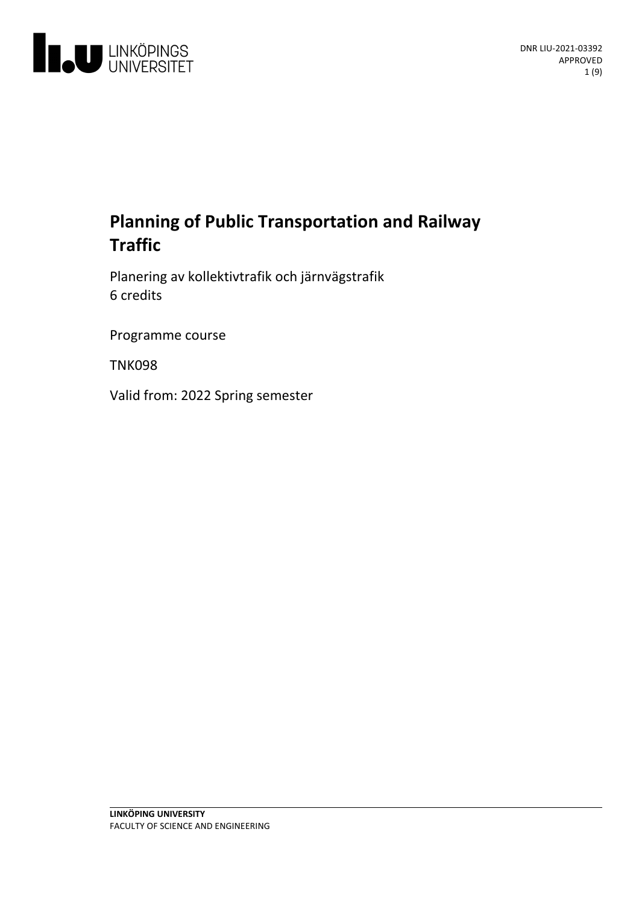

# **Planning of Public Transportation and Railway Traffic**

Planeringav kollektivtrafik och järnvägstrafik 6 credits

Programme course

TNK098

Valid from: 2022 Spring semester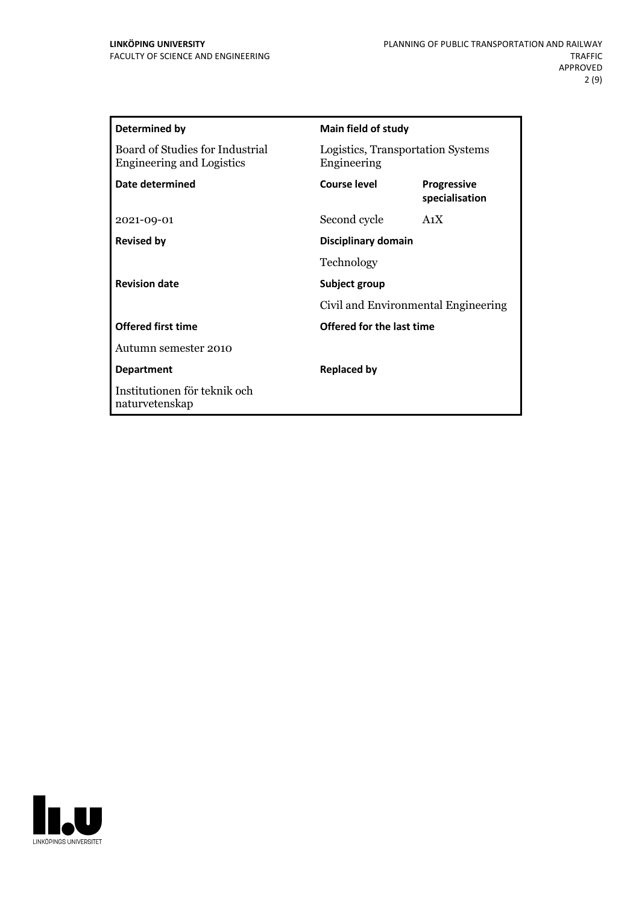| <b>Determined by</b>                                                | Main field of study                                  |                                      |  |
|---------------------------------------------------------------------|------------------------------------------------------|--------------------------------------|--|
| Board of Studies for Industrial<br><b>Engineering and Logistics</b> | Logistics, Transportation Systems<br>Engineering     |                                      |  |
| Date determined                                                     | Course level                                         | <b>Progressive</b><br>specialisation |  |
| 2021-09-01                                                          | Second cycle                                         | A <sub>1</sub> X                     |  |
| <b>Revised by</b>                                                   |                                                      | Disciplinary domain                  |  |
|                                                                     | Technology                                           |                                      |  |
| <b>Revision date</b>                                                | Subject group<br>Civil and Environmental Engineering |                                      |  |
|                                                                     |                                                      |                                      |  |
| <b>Offered first time</b>                                           | Offered for the last time                            |                                      |  |
| Autumn semester 2010                                                |                                                      |                                      |  |
| <b>Department</b>                                                   | <b>Replaced by</b>                                   |                                      |  |
| Institutionen för teknik och<br>naturvetenskap                      |                                                      |                                      |  |

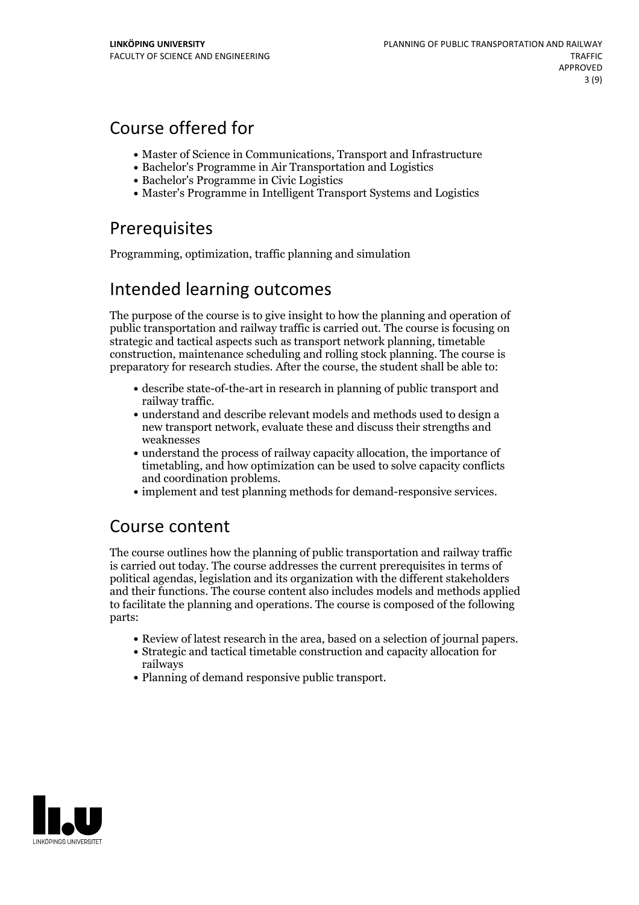# Course offered for

- Master of Science in Communications, Transport and Infrastructure
- Bachelor's Programme in Air Transportation and Logistics
- Bachelor's Programme in Civic Logistics
- Master's Programme in Intelligent Transport Systems and Logistics

# **Prerequisites**

Programming, optimization, traffic planning and simulation

# Intended learning outcomes

The purpose of the course is to give insight to how the planning and operation of public transportation and railway traffic is carried out. The course is focusing on strategic and tactical aspects such astransport network planning, timetable construction, maintenance scheduling and rolling stock planning. The course is preparatory for research studies. After the course, the student shall be able to:

- describe state-of-the-art in research in planning of public transport and
- railway traffic.<br>• understand and describe relevant models and methods used to design a new transport network, evaluate these and discuss their strengths and weaknesses
- understand the process of railway capacity allocation, the importance of timetabling, and how optimization can be used to solve capacity conflicts and coordination problems.<br>• implement and test planning methods for demand-responsive services.
- 

# Course content

The course outlines how the planning of public transportation and railway traffic is carried out today. The course addresses the current prerequisites in terms of political agendas, legislation and its organization with the different stakeholders and their functions. The course content also includes models and methods applied to facilitate the planning and operations. The course is composed of the following parts:

- 
- Review of latest research in the area, based on <sup>a</sup> selection of journal papers. Strategic and tactical timetable construction and capacity allocation for railways
- Planning of demand responsive public transport.

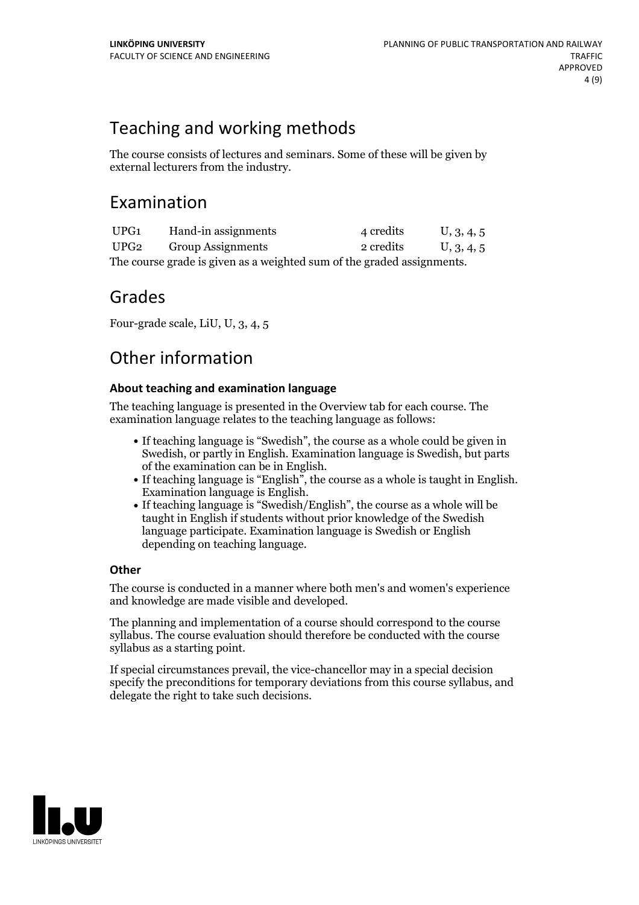# Teaching and working methods

The course consists of lectures and seminars. Some of these will be given by external lecturers from the industry.

## Examination

| UPG1                                                                   | Hand-in assignments      | 4 credits | U, 3, 4, 5 |  |  |
|------------------------------------------------------------------------|--------------------------|-----------|------------|--|--|
| UPG2                                                                   | <b>Group Assignments</b> | 2 credits | U, 3, 4, 5 |  |  |
| The course grade is given as a weighted sum of the graded assignments. |                          |           |            |  |  |

## Grades

Four-grade scale, LiU, U, 3, 4, 5

# Other information

## **About teaching and examination language**

The teaching language is presented in the Overview tab for each course. The examination language relates to the teaching language as follows:

- If teaching language is "Swedish", the course as a whole could be given in Swedish, or partly in English. Examination language is Swedish, but parts
- of the examination can be in English. If teaching language is "English", the course as <sup>a</sup> whole is taught in English. Examination language is English. If teaching language is "Swedish/English", the course as <sup>a</sup> whole will be
- taught in English if students without prior knowledge of the Swedish language participate. Examination language is Swedish or English depending on teaching language.

## **Other**

The course is conducted in a manner where both men's and women's experience and knowledge are made visible and developed.

The planning and implementation of a course should correspond to the course syllabus. The course evaluation should therefore be conducted with the course syllabus as a starting point.

If special circumstances prevail, the vice-chancellor may in a special decision specify the preconditions for temporary deviations from this course syllabus, and delegate the right to take such decisions.

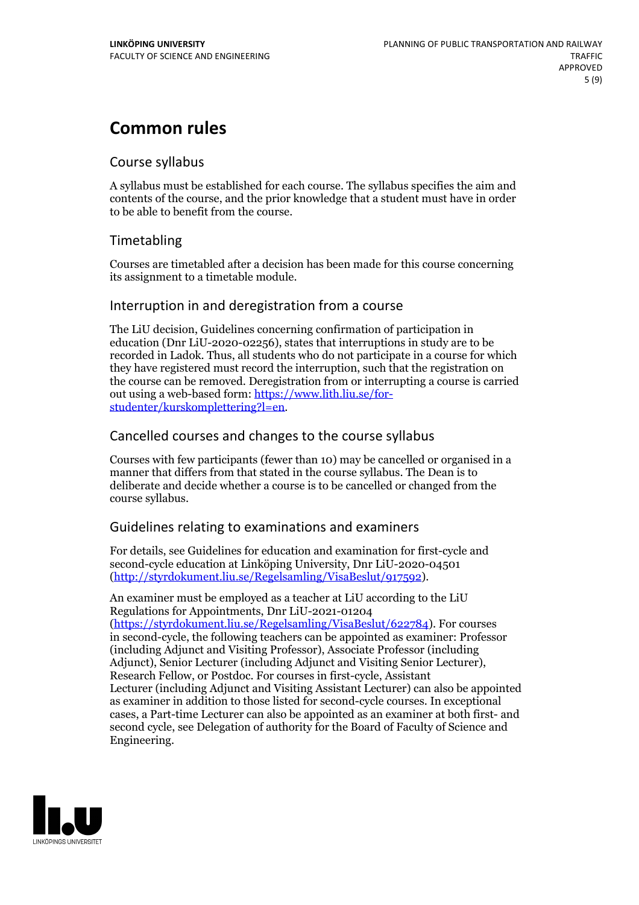# **Common rules**

## Course syllabus

A syllabus must be established for each course. The syllabus specifies the aim and contents of the course, and the prior knowledge that a student must have in order to be able to benefit from the course.

## Timetabling

Courses are timetabled after a decision has been made for this course concerning its assignment to a timetable module.

## Interruption in and deregistration from a course

The LiU decision, Guidelines concerning confirmation of participation in education (Dnr LiU-2020-02256), states that interruptions in study are to be recorded in Ladok. Thus, all students who do not participate in a course for which they have registered must record the interruption, such that the registration on the course can be removed. Deregistration from or interrupting a course is carried out using <sup>a</sup> web-based form: https://www.lith.liu.se/for- [studenter/kurskomplettering?l=en.](https://www.lith.liu.se/for-studenter/kurskomplettering?l=en)

## Cancelled coursesand changes to the course syllabus

Courses with few participants (fewer than 10) may be cancelled or organised in a manner that differs from that stated in the course syllabus. The Dean is to deliberate and decide whether a course is to be cancelled or changed from the course syllabus.

## Guidelines relating to examinations and examiners

For details, see Guidelines for education and examination for first-cycle and second-cycle education at Linköping University, Dnr LiU-2020-04501 [\(http://styrdokument.liu.se/Regelsamling/VisaBeslut/917592\)](http://styrdokument.liu.se/Regelsamling/VisaBeslut/917592).

An examiner must be employed as a teacher at LiU according to the LiU Regulations for Appointments, Dnr LiU-2021-01204 [\(https://styrdokument.liu.se/Regelsamling/VisaBeslut/622784](https://styrdokument.liu.se/Regelsamling/VisaBeslut/622784)). For courses in second-cycle, the following teachers can be appointed as examiner: Professor (including Adjunct and Visiting Professor), Associate Professor (including Adjunct), Senior Lecturer (including Adjunct and Visiting Senior Lecturer), Research Fellow, or Postdoc. For courses in first-cycle, Assistant Lecturer (including Adjunct and Visiting Assistant Lecturer) can also be appointed as examiner in addition to those listed for second-cycle courses. In exceptional cases, a Part-time Lecturer can also be appointed as an examiner at both first- and second cycle, see Delegation of authority for the Board of Faculty of Science and Engineering.

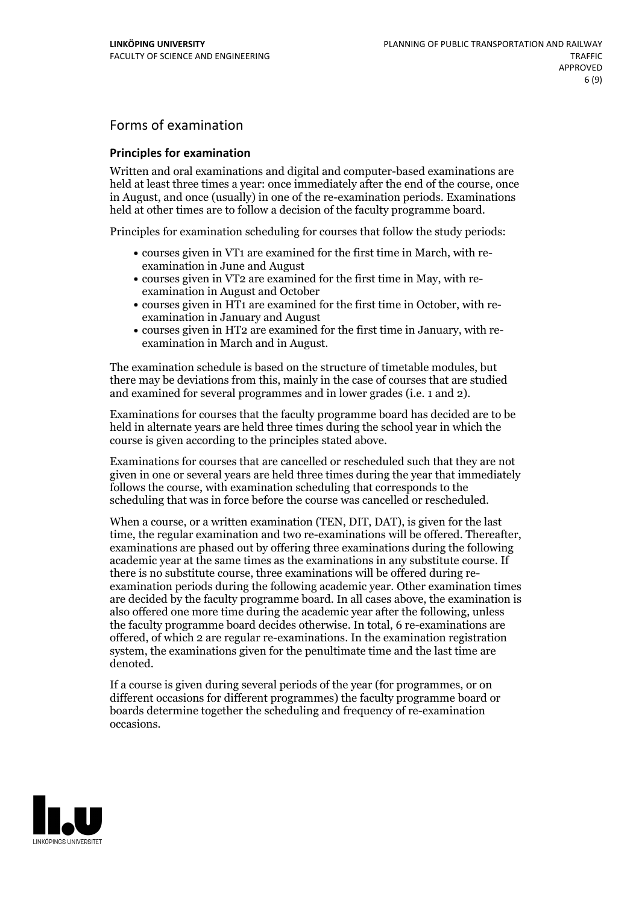## Forms of examination

#### **Principles for examination**

Written and oral examinations and digital and computer-based examinations are held at least three times a year: once immediately after the end of the course, once in August, and once (usually) in one of the re-examination periods. Examinations held at other times are to follow a decision of the faculty programme board.

Principles for examination scheduling for courses that follow the study periods:

- courses given in VT1 are examined for the first time in March, with re-examination in June and August
- courses given in VT2 are examined for the first time in May, with re-examination in August and October
- courses given in HT1 are examined for the first time in October, with re-examination in January and August
- courses given in HT2 are examined for the first time in January, with re-examination in March and in August.

The examination schedule is based on the structure of timetable modules, but there may be deviations from this, mainly in the case of courses that are studied and examined for several programmes and in lower grades (i.e. 1 and 2).

Examinations for courses that the faculty programme board has decided are to be held in alternate years are held three times during the school year in which the course is given according to the principles stated above.

Examinations for courses that are cancelled orrescheduled such that they are not given in one or several years are held three times during the year that immediately follows the course, with examination scheduling that corresponds to the scheduling that was in force before the course was cancelled or rescheduled.

When a course, or a written examination (TEN, DIT, DAT), is given for the last time, the regular examination and two re-examinations will be offered. Thereafter, examinations are phased out by offering three examinations during the following academic year at the same times as the examinations in any substitute course. If there is no substitute course, three examinations will be offered during re- examination periods during the following academic year. Other examination times are decided by the faculty programme board. In all cases above, the examination is also offered one more time during the academic year after the following, unless the faculty programme board decides otherwise. In total, 6 re-examinations are offered, of which 2 are regular re-examinations. In the examination registration system, the examinations given for the penultimate time and the last time are denoted.

If a course is given during several periods of the year (for programmes, or on different occasions for different programmes) the faculty programme board or boards determine together the scheduling and frequency of re-examination occasions.

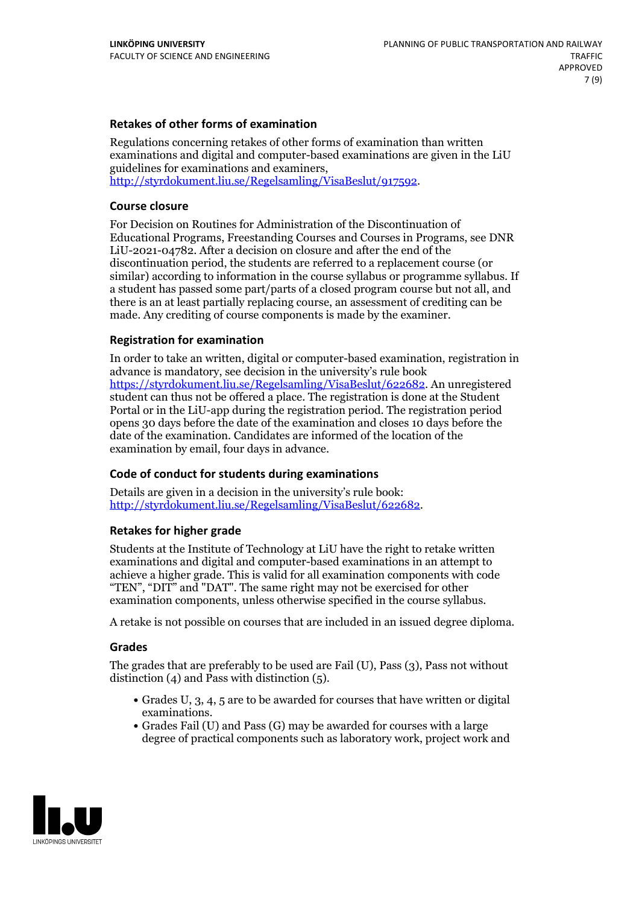#### **Retakes of other forms of examination**

Regulations concerning retakes of other forms of examination than written examinations and digital and computer-based examinations are given in the LiU guidelines for examinations and examiners, [http://styrdokument.liu.se/Regelsamling/VisaBeslut/917592.](http://styrdokument.liu.se/Regelsamling/VisaBeslut/917592)

#### **Course closure**

For Decision on Routines for Administration of the Discontinuation of Educational Programs, Freestanding Courses and Courses in Programs, see DNR LiU-2021-04782. After a decision on closure and after the end of the discontinuation period, the students are referred to a replacement course (or similar) according to information in the course syllabus or programme syllabus. If a student has passed some part/parts of a closed program course but not all, and there is an at least partially replacing course, an assessment of crediting can be made. Any crediting of course components is made by the examiner.

#### **Registration for examination**

In order to take an written, digital or computer-based examination, registration in advance is mandatory, see decision in the university's rule book [https://styrdokument.liu.se/Regelsamling/VisaBeslut/622682.](https://styrdokument.liu.se/Regelsamling/VisaBeslut/622682) An unregistered student can thus not be offered a place. The registration is done at the Student Portal or in the LiU-app during the registration period. The registration period opens 30 days before the date of the examination and closes 10 days before the date of the examination. Candidates are informed of the location of the examination by email, four days in advance.

### **Code of conduct for students during examinations**

Details are given in a decision in the university's rule book: <http://styrdokument.liu.se/Regelsamling/VisaBeslut/622682>.

#### **Retakes for higher grade**

Students at the Institute of Technology at LiU have the right to retake written examinations and digital and computer-based examinations in an attempt to achieve a higher grade. This is valid for all examination components with code "TEN", "DIT" and "DAT". The same right may not be exercised for other examination components, unless otherwise specified in the course syllabus.

A retake is not possible on courses that are included in an issued degree diploma.

#### **Grades**

The grades that are preferably to be used are Fail (U), Pass (3), Pass not without distinction  $(4)$  and Pass with distinction  $(5)$ .

- Grades U, 3, 4, 5 are to be awarded for courses that have written or digital examinations.<br>• Grades Fail (U) and Pass (G) may be awarded for courses with a large
- degree of practical components such as laboratory work, project work and

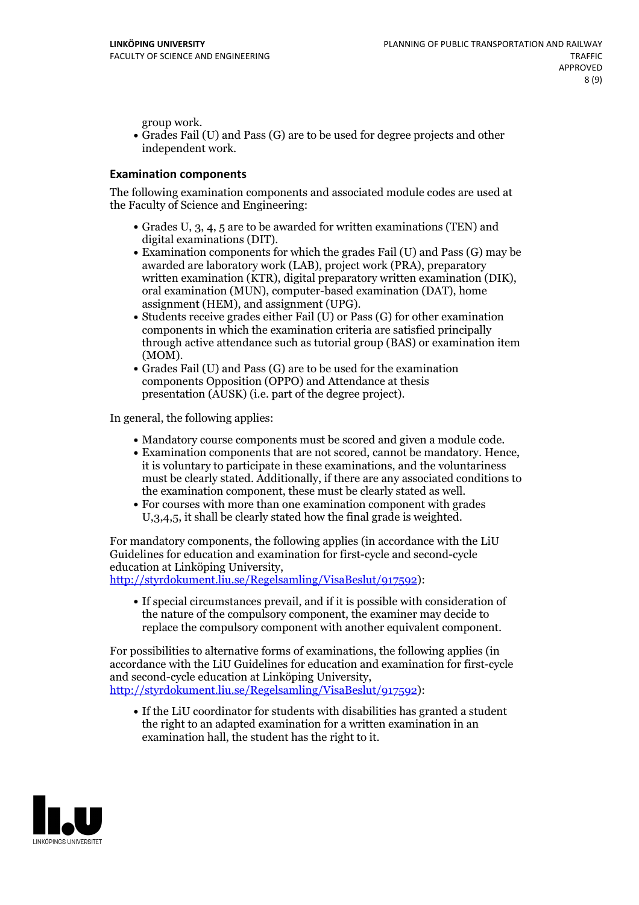group work.<br>• Grades Fail (U) and Pass (G) are to be used for degree projects and other independent work.

#### **Examination components**

The following examination components and associated module codes are used at the Faculty of Science and Engineering:

- Grades U, 3, 4, 5 are to be awarded for written examinations (TEN) and
- digital examinations (DIT).<br>• Examination components for which the grades Fail (U) and Pass (G) may be awarded are laboratory work (LAB), project work (PRA), preparatory written examination (KTR), digital preparatory written examination (DIK), oral examination (MUN), computer-based examination (DAT), home
- assignment (HEM), and assignment (UPG).<br>• Students receive grades either Fail (U) or Pass (G) for other examination components in which the examination criteria are satisfied principally through active attendance such as tutorial group (BAS) or examination item (MOM).<br>• Grades Fail (U) and Pass (G) are to be used for the examination
- components Opposition (OPPO) and Attendance at thesis presentation (AUSK) (i.e. part of the degree project).

In general, the following applies:

- 
- Mandatory course components must be scored and given <sup>a</sup> module code. Examination components that are not scored, cannot be mandatory. Hence, it is voluntary to participate in these examinations, and the voluntariness must be clearly stated. Additionally, if there are any associated conditions to
- the examination component, these must be clearly stated as well.<br>• For courses with more than one examination component with grades U,3,4,5, it shall be clearly stated how the final grade is weighted.

For mandatory components, the following applies (in accordance with the LiU Guidelines for education and examination for first-cycle and second-cycle education at Linköping University,<br>[http://styrdokument.liu.se/Regelsamling/VisaBeslut/917592\)](http://styrdokument.liu.se/Regelsamling/VisaBeslut/917592):

If special circumstances prevail, and if it is possible with consideration of the nature of the compulsory component, the examiner may decide to replace the compulsory component with another equivalent component.

For possibilities to alternative forms of examinations, the following applies (in accordance with the LiU Guidelines for education and examination for first-cycle [http://styrdokument.liu.se/Regelsamling/VisaBeslut/917592\)](http://styrdokument.liu.se/Regelsamling/VisaBeslut/917592):

If the LiU coordinator for students with disabilities has granted a student the right to an adapted examination for a written examination in an examination hall, the student has the right to it.